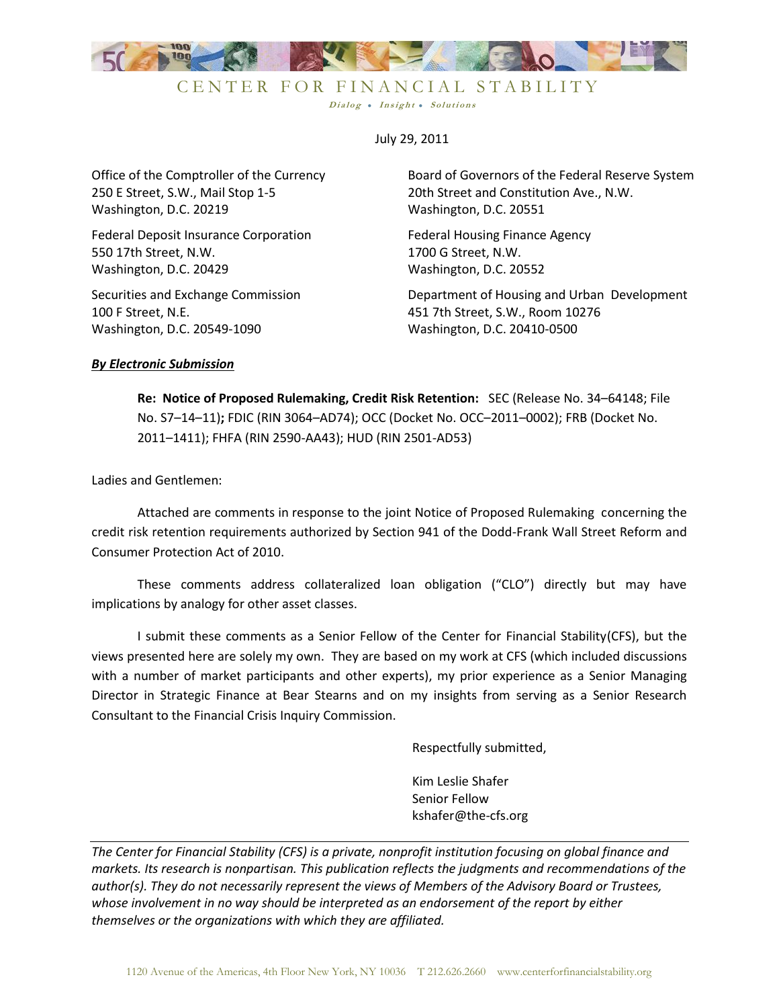

July 29, 2011

Dialog • Insight • Solutions

Office of the Comptroller of the Currency 250 E Street, S.W., Mail Stop 1-5 Washington, D.C. 20219

Federal Deposit Insurance Corporation 550 17th Street, N.W. Washington, D.C. 20429

Securities and Exchange Commission 100 F Street, N.E. Washington, D.C. 20549-1090

Board of Governors of the Federal Reserve System 20th Street and Constitution Ave., N.W. Washington, D.C. 20551

Federal Housing Finance Agency 1700 G Street, N.W. Washington, D.C. 20552

Department of Housing and Urban Development 451 7th Street, S.W., Room 10276 Washington, D.C. 20410-0500

#### *By Electronic Submission*

**Re: Notice of Proposed Rulemaking, Credit Risk Retention:** SEC (Release No. 34–64148; File No. S7–14–11)**;** FDIC (RIN 3064–AD74); OCC (Docket No. OCC–2011–0002); FRB (Docket No. 2011–1411); FHFA (RIN 2590-AA43); HUD (RIN 2501-AD53)

Ladies and Gentlemen:

Attached are comments in response to the joint Notice of Proposed Rulemaking concerning the credit risk retention requirements authorized by Section 941 of the Dodd-Frank Wall Street Reform and Consumer Protection Act of 2010.

These comments address collateralized loan obligation ("CLO") directly but may have implications by analogy for other asset classes.

I submit these comments as a Senior Fellow of the Center for Financial Stability(CFS), but the views presented here are solely my own. They are based on my work at CFS (which included discussions with a number of market participants and other experts), my prior experience as a Senior Managing Director in Strategic Finance at Bear Stearns and on my insights from serving as a Senior Research Consultant to the Financial Crisis Inquiry Commission.

Respectfully submitted,

Kim Leslie Shafer Senior Fellow [kshafer@the-cfs.org](mailto:lgoodman@the-cfs.org)

*The Center for Financial Stability (CFS) is a private, nonprofit institution focusing on global finance and markets. Its research is nonpartisan. This publication reflects the judgments and recommendations of the author(s). They do not necessarily represent the views of Members of the Advisory Board or Trustees, whose involvement in no way should be interpreted as an endorsement of the report by either themselves or the organizations with which they are affiliated.*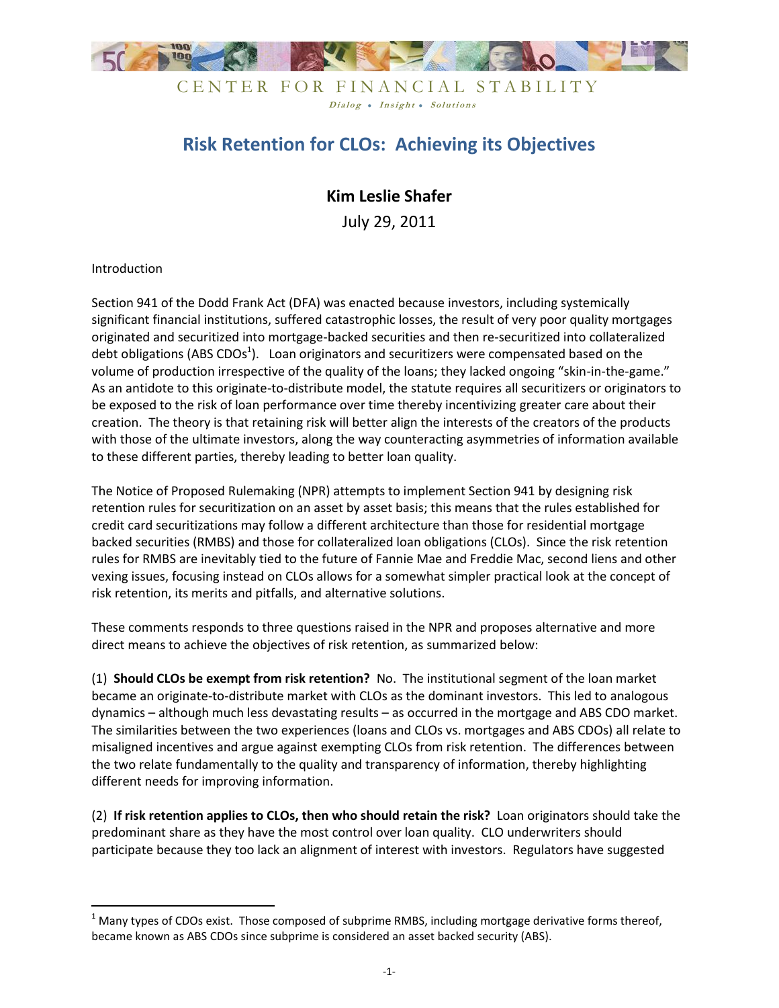

# **Risk Retention for CLOs: Achieving its Objectives**

# **Kim Leslie Shafer**

July 29, 2011

Introduction

 $\overline{\phantom{a}}$ 

Section 941 of the Dodd Frank Act (DFA) was enacted because investors, including systemically significant financial institutions, suffered catastrophic losses, the result of very poor quality mortgages originated and securitized into mortgage-backed securities and then re-securitized into collateralized debt obligations (ABS CDOs<sup>1</sup>). Loan originators and securitizers were compensated based on the volume of production irrespective of the quality of the loans; they lacked ongoing "skin-in-the-game." As an antidote to this originate-to-distribute model, the statute requires all securitizers or originators to be exposed to the risk of loan performance over time thereby incentivizing greater care about their creation. The theory is that retaining risk will better align the interests of the creators of the products with those of the ultimate investors, along the way counteracting asymmetries of information available to these different parties, thereby leading to better loan quality.

The Notice of Proposed Rulemaking (NPR) attempts to implement Section 941 by designing risk retention rules for securitization on an asset by asset basis; this means that the rules established for credit card securitizations may follow a different architecture than those for residential mortgage backed securities (RMBS) and those for collateralized loan obligations (CLOs). Since the risk retention rules for RMBS are inevitably tied to the future of Fannie Mae and Freddie Mac, second liens and other vexing issues, focusing instead on CLOs allows for a somewhat simpler practical look at the concept of risk retention, its merits and pitfalls, and alternative solutions.

These comments responds to three questions raised in the NPR and proposes alternative and more direct means to achieve the objectives of risk retention, as summarized below:

(1) **Should CLOs be exempt from risk retention?** No. The institutional segment of the loan market became an originate-to-distribute market with CLOs as the dominant investors. This led to analogous dynamics – although much less devastating results – as occurred in the mortgage and ABS CDO market. The similarities between the two experiences (loans and CLOs vs. mortgages and ABS CDOs) all relate to misaligned incentives and argue against exempting CLOs from risk retention. The differences between the two relate fundamentally to the quality and transparency of information, thereby highlighting different needs for improving information.

(2) **If risk retention applies to CLOs, then who should retain the risk?** Loan originators should take the predominant share as they have the most control over loan quality. CLO underwriters should participate because they too lack an alignment of interest with investors. Regulators have suggested

 $1$  Many types of CDOs exist. Those composed of subprime RMBS, including mortgage derivative forms thereof, became known as ABS CDOs since subprime is considered an asset backed security (ABS).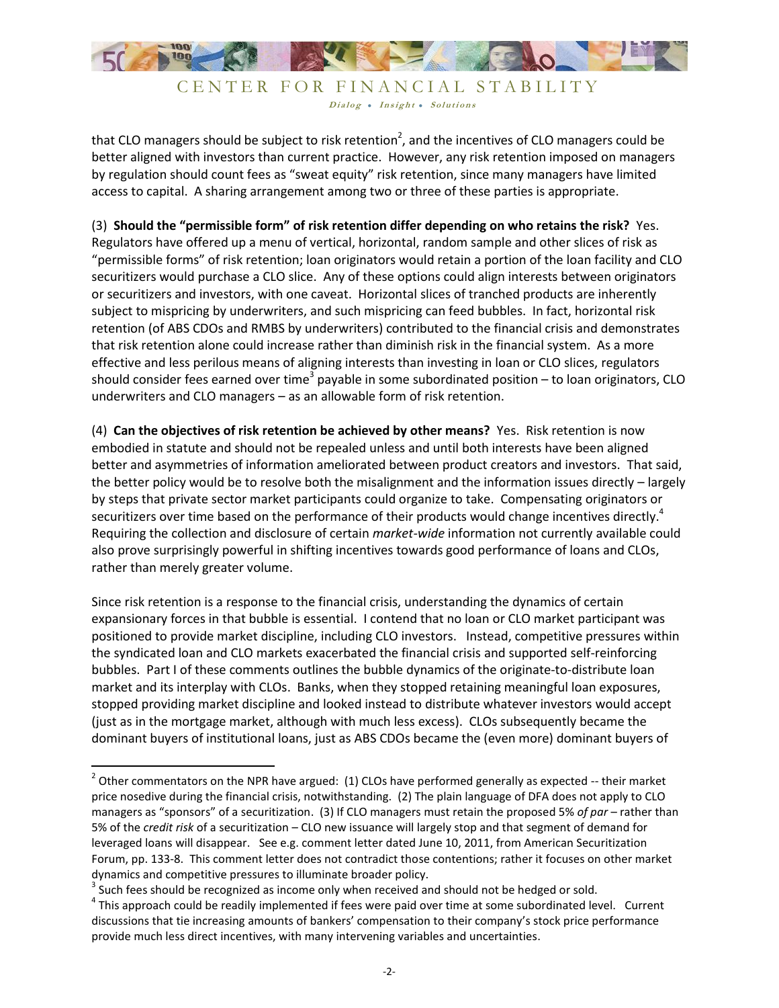

that CLO managers should be subject to risk retention<sup>2</sup>, and the incentives of CLO managers could be better aligned with investors than current practice. However, any risk retention imposed on managers by regulation should count fees as "sweat equity" risk retention, since many managers have limited access to capital. A sharing arrangement among two or three of these parties is appropriate.

(3) **Should the "permissible form" of risk retention differ depending on who retains the risk?** Yes. Regulators have offered up a menu of vertical, horizontal, random sample and other slices of risk as "permissible forms" of risk retention; loan originators would retain a portion of the loan facility and CLO securitizers would purchase a CLO slice. Any of these options could align interests between originators or securitizers and investors, with one caveat. Horizontal slices of tranched products are inherently subject to mispricing by underwriters, and such mispricing can feed bubbles. In fact, horizontal risk retention (of ABS CDOs and RMBS by underwriters) contributed to the financial crisis and demonstrates that risk retention alone could increase rather than diminish risk in the financial system. As a more effective and less perilous means of aligning interests than investing in loan or CLO slices, regulators should consider fees earned over time<sup>3</sup> payable in some subordinated position – to loan originators, CLO underwriters and CLO managers – as an allowable form of risk retention.

(4) **Can the objectives of risk retention be achieved by other means?** Yes. Risk retention is now embodied in statute and should not be repealed unless and until both interests have been aligned better and asymmetries of information ameliorated between product creators and investors. That said, the better policy would be to resolve both the misalignment and the information issues directly – largely by steps that private sector market participants could organize to take. Compensating originators or securitizers over time based on the performance of their products would change incentives directly.<sup>4</sup> Requiring the collection and disclosure of certain *market-wide* information not currently available could also prove surprisingly powerful in shifting incentives towards good performance of loans and CLOs, rather than merely greater volume.

Since risk retention is a response to the financial crisis, understanding the dynamics of certain expansionary forces in that bubble is essential. I contend that no loan or CLO market participant was positioned to provide market discipline, including CLO investors. Instead, competitive pressures within the syndicated loan and CLO markets exacerbated the financial crisis and supported self-reinforcing bubbles. Part I of these comments outlines the bubble dynamics of the originate-to-distribute loan market and its interplay with CLOs. Banks, when they stopped retaining meaningful loan exposures, stopped providing market discipline and looked instead to distribute whatever investors would accept (just as in the mortgage market, although with much less excess). CLOs subsequently became the dominant buyers of institutional loans, just as ABS CDOs became the (even more) dominant buyers of

 $^2$  Other commentators on the NPR have argued: (1) CLOs have performed generally as expected -- their market price nosedive during the financial crisis, notwithstanding. (2) The plain language of DFA does not apply to CLO managers as "sponsors" of a securitization. (3) If CLO managers must retain the proposed 5% *of par* – rather than 5% of the *credit risk* of a securitization – CLO new issuance will largely stop and that segment of demand for leveraged loans will disappear. See e.g. comment letter dated June 10, 2011, from American Securitization Forum, pp. 133-8. This comment letter does not contradict those contentions; rather it focuses on other market dynamics and competitive pressures to illuminate broader policy.

 $3$  Such fees should be recognized as income only when received and should not be hedged or sold.

 $^4$  This approach could be readily implemented if fees were paid over time at some subordinated level. Current discussions that tie increasing amounts of bankers' compensation to their company's stock price performance provide much less direct incentives, with many intervening variables and uncertainties.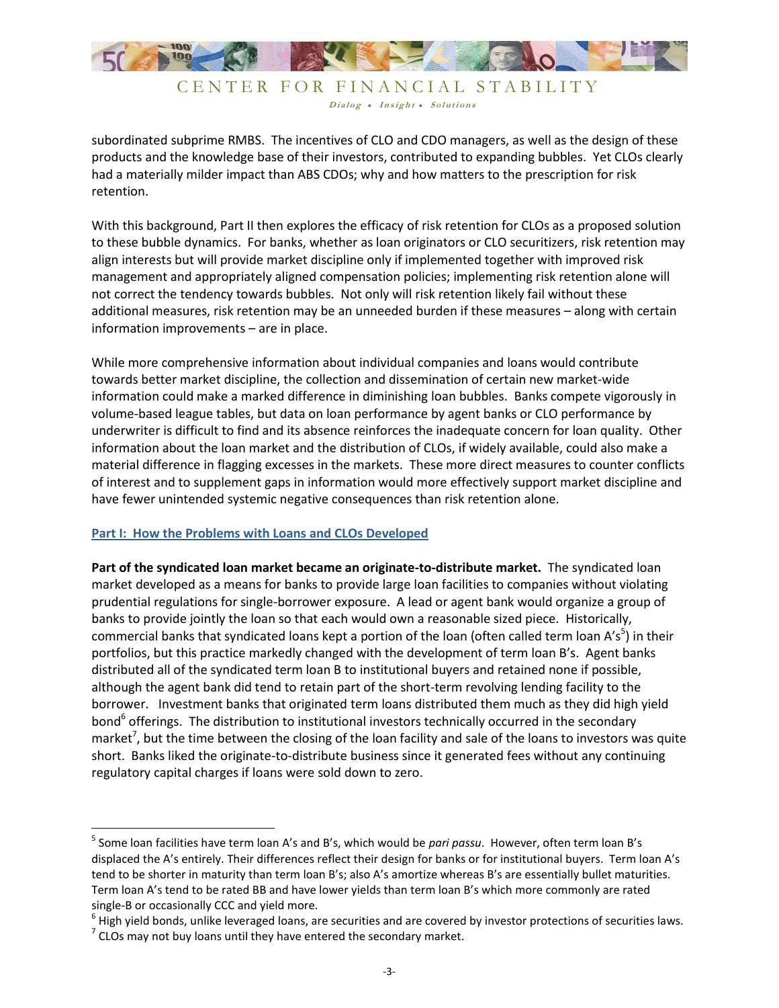

subordinated subprime RMBS. The incentives of CLO and CDO managers, as well as the design of these products and the knowledge base of their investors, contributed to expanding bubbles. Yet CLOs clearly had a materially milder impact than ABS CDOs; why and how matters to the prescription for risk retention.

With this background, Part II then explores the efficacy of risk retention for CLOs as a proposed solution to these bubble dynamics. For banks, whether as loan originators or CLO securitizers, risk retention may align interests but will provide market discipline only if implemented together with improved risk management and appropriately aligned compensation policies; implementing risk retention alone will not correct the tendency towards bubbles. Not only will risk retention likely fail without these additional measures, risk retention may be an unneeded burden if these measures – along with certain information improvements – are in place.

While more comprehensive information about individual companies and loans would contribute towards better market discipline, the collection and dissemination of certain new market-wide information could make a marked difference in diminishing loan bubbles. Banks compete vigorously in volume-based league tables, but data on loan performance by agent banks or CLO performance by underwriter is difficult to find and its absence reinforces the inadequate concern for loan quality. Other information about the loan market and the distribution of CLOs, if widely available, could also make a material difference in flagging excesses in the markets. These more direct measures to counter conflicts of interest and to supplement gaps in information would more effectively support market discipline and have fewer unintended systemic negative consequences than risk retention alone.

#### **Part I: How the Problems with Loans and CLOs Developed**

**Part of the syndicated loan market became an originate-to-distribute market.** The syndicated loan market developed as a means for banks to provide large loan facilities to companies without violating prudential regulations for single-borrower exposure. A lead or agent bank would organize a group of banks to provide jointly the loan so that each would own a reasonable sized piece. Historically, commercial banks that syndicated loans kept a portion of the loan (often called term loan A's<sup>5</sup>) in their portfolios, but this practice markedly changed with the development of term loan B's. Agent banks distributed all of the syndicated term loan B to institutional buyers and retained none if possible, although the agent bank did tend to retain part of the short-term revolving lending facility to the borrower. Investment banks that originated term loans distributed them much as they did high yield bond<sup>6</sup> offerings. The distribution to institutional investors technically occurred in the secondary market<sup>7</sup>, but the time between the closing of the loan facility and sale of the loans to investors was quite short. Banks liked the originate-to-distribute business since it generated fees without any continuing regulatory capital charges if loans were sold down to zero.

<sup>5</sup> Some loan facilities have term loan A's and B's, which would be *pari passu*. However, often term loan B's displaced the A's entirely. Their differences reflect their design for banks or for institutional buyers. Term loan A's tend to be shorter in maturity than term loan B's; also A's amortize whereas B's are essentially bullet maturities. Term loan A's tend to be rated BB and have lower yields than term loan B's which more commonly are rated single-B or occasionally CCC and yield more.

 $^6$  High yield bonds, unlike leveraged loans, are securities and are covered by investor protections of securities laws.

 $^7$  CLOs may not buy loans until they have entered the secondary market.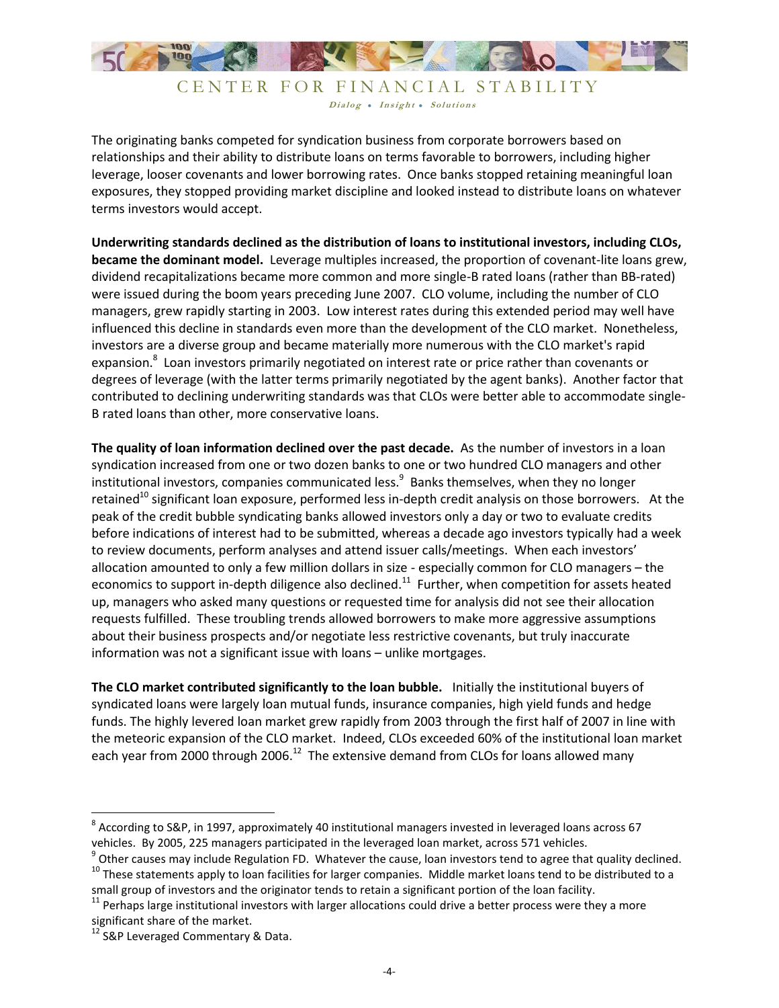

The originating banks competed for syndication business from corporate borrowers based on relationships and their ability to distribute loans on terms favorable to borrowers, including higher leverage, looser covenants and lower borrowing rates. Once banks stopped retaining meaningful loan exposures, they stopped providing market discipline and looked instead to distribute loans on whatever terms investors would accept.

**Underwriting standards declined as the distribution of loans to institutional investors, including CLOs, became the dominant model.** Leverage multiples increased, the proportion of covenant-lite loans grew, dividend recapitalizations became more common and more single-B rated loans (rather than BB-rated) were issued during the boom years preceding June 2007. CLO volume, including the number of CLO managers, grew rapidly starting in 2003. Low interest rates during this extended period may well have influenced this decline in standards even more than the development of the CLO market. Nonetheless, investors are a diverse group and became materially more numerous with the CLO market's rapid expansion.<sup>8</sup> Loan investors primarily negotiated on interest rate or price rather than covenants or degrees of leverage (with the latter terms primarily negotiated by the agent banks). Another factor that contributed to declining underwriting standards was that CLOs were better able to accommodate single-B rated loans than other, more conservative loans.

**The quality of loan information declined over the past decade.** As the number of investors in a loan syndication increased from one or two dozen banks to one or two hundred CLO managers and other institutional investors, companies communicated less.<sup>9</sup> Banks themselves, when they no longer retained<sup>10</sup> significant loan exposure, performed less in-depth credit analysis on those borrowers. At the peak of the credit bubble syndicating banks allowed investors only a day or two to evaluate credits before indications of interest had to be submitted, whereas a decade ago investors typically had a week to review documents, perform analyses and attend issuer calls/meetings. When each investors' allocation amounted to only a few million dollars in size - especially common for CLO managers – the economics to support in-depth diligence also declined.<sup>11</sup> Further, when competition for assets heated up, managers who asked many questions or requested time for analysis did not see their allocation requests fulfilled. These troubling trends allowed borrowers to make more aggressive assumptions about their business prospects and/or negotiate less restrictive covenants, but truly inaccurate information was not a significant issue with loans – unlike mortgages.

**The CLO market contributed significantly to the loan bubble.** Initially the institutional buyers of syndicated loans were largely loan mutual funds, insurance companies, high yield funds and hedge funds. The highly levered loan market grew rapidly from 2003 through the first half of 2007 in line with the meteoric expansion of the CLO market. Indeed, CLOs exceeded 60% of the institutional loan market each year from 2000 through 2006.<sup>12</sup> The extensive demand from CLOs for loans allowed many

l

 $^8$  According to S&P, in 1997, approximately 40 institutional managers invested in leveraged loans across 67 vehicles. By 2005, 225 managers participated in the leveraged loan market, across 571 vehicles.

 $^9$  Other causes may include Regulation FD. Whatever the cause, loan investors tend to agree that quality declined.  $10$  These statements apply to loan facilities for larger companies. Middle market loans tend to be distributed to a small group of investors and the originator tends to retain a significant portion of the loan facility.

<sup>&</sup>lt;sup>11</sup> Perhaps large institutional investors with larger allocations could drive a better process were they a more significant share of the market.

<sup>&</sup>lt;sup>12</sup> S&P Leveraged Commentary & Data.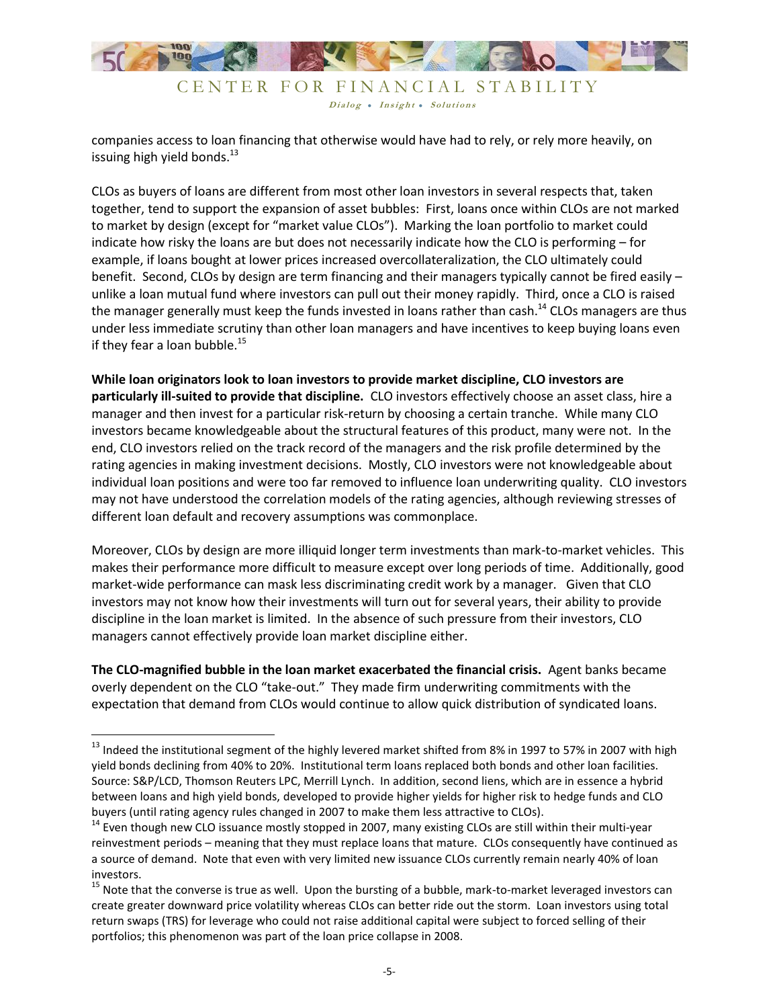

Dialog • Insight • Solutions

companies access to loan financing that otherwise would have had to rely, or rely more heavily, on issuing high yield bonds.<sup>13</sup>

CLOs as buyers of loans are different from most other loan investors in several respects that, taken together, tend to support the expansion of asset bubbles: First, loans once within CLOs are not marked to market by design (except for "market value CLOs"). Marking the loan portfolio to market could indicate how risky the loans are but does not necessarily indicate how the CLO is performing – for example, if loans bought at lower prices increased overcollateralization, the CLO ultimately could benefit. Second, CLOs by design are term financing and their managers typically cannot be fired easily – unlike a loan mutual fund where investors can pull out their money rapidly. Third, once a CLO is raised the manager generally must keep the funds invested in loans rather than cash.<sup>14</sup> CLOs managers are thus under less immediate scrutiny than other loan managers and have incentives to keep buying loans even if they fear a loan bubble. $^{15}$ 

**While loan originators look to loan investors to provide market discipline, CLO investors are particularly ill-suited to provide that discipline.** CLO investors effectively choose an asset class, hire a manager and then invest for a particular risk-return by choosing a certain tranche. While many CLO investors became knowledgeable about the structural features of this product, many were not. In the end, CLO investors relied on the track record of the managers and the risk profile determined by the rating agencies in making investment decisions. Mostly, CLO investors were not knowledgeable about individual loan positions and were too far removed to influence loan underwriting quality. CLO investors may not have understood the correlation models of the rating agencies, although reviewing stresses of different loan default and recovery assumptions was commonplace.

Moreover, CLOs by design are more illiquid longer term investments than mark-to-market vehicles. This makes their performance more difficult to measure except over long periods of time. Additionally, good market-wide performance can mask less discriminating credit work by a manager. Given that CLO investors may not know how their investments will turn out for several years, their ability to provide discipline in the loan market is limited. In the absence of such pressure from their investors, CLO managers cannot effectively provide loan market discipline either.

**The CLO-magnified bubble in the loan market exacerbated the financial crisis.** Agent banks became overly dependent on the CLO "take-out." They made firm underwriting commitments with the expectation that demand from CLOs would continue to allow quick distribution of syndicated loans.

<sup>&</sup>lt;sup>13</sup> Indeed the institutional segment of the highly levered market shifted from 8% in 1997 to 57% in 2007 with high yield bonds declining from 40% to 20%. Institutional term loans replaced both bonds and other loan facilities. Source: S&P/LCD, Thomson Reuters LPC, Merrill Lynch. In addition, second liens, which are in essence a hybrid between loans and high yield bonds, developed to provide higher yields for higher risk to hedge funds and CLO buyers (until rating agency rules changed in 2007 to make them less attractive to CLOs).

<sup>&</sup>lt;sup>14</sup> Even though new CLO issuance mostly stopped in 2007, many existing CLOs are still within their multi-year reinvestment periods – meaning that they must replace loans that mature. CLOs consequently have continued as a source of demand. Note that even with very limited new issuance CLOs currently remain nearly 40% of loan investors.

<sup>&</sup>lt;sup>15</sup> Note that the converse is true as well. Upon the bursting of a bubble, mark-to-market leveraged investors can create greater downward price volatility whereas CLOs can better ride out the storm. Loan investors using total return swaps (TRS) for leverage who could not raise additional capital were subject to forced selling of their portfolios; this phenomenon was part of the loan price collapse in 2008.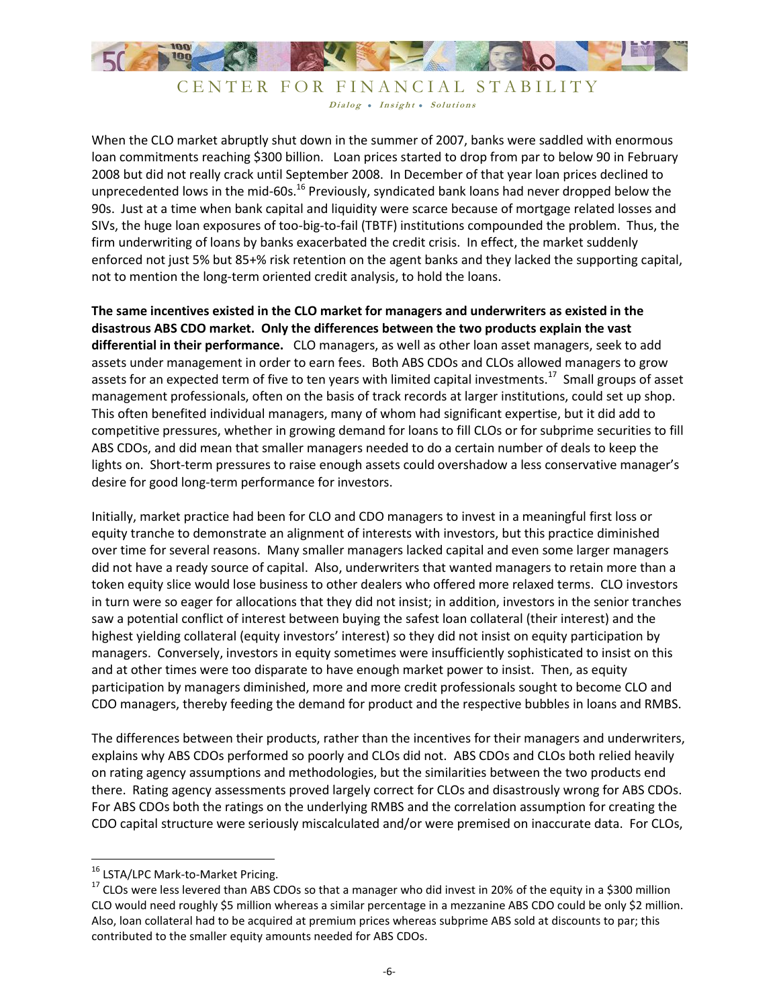

When the CLO market abruptly shut down in the summer of 2007, banks were saddled with enormous loan commitments reaching \$300 billion. Loan prices started to drop from par to below 90 in February 2008 but did not really crack until September 2008. In December of that year loan prices declined to unprecedented lows in the mid-60s.<sup>16</sup> Previously, syndicated bank loans had never dropped below the 90s. Just at a time when bank capital and liquidity were scarce because of mortgage related losses and SIVs, the huge loan exposures of too-big-to-fail (TBTF) institutions compounded the problem. Thus, the firm underwriting of loans by banks exacerbated the credit crisis. In effect, the market suddenly enforced not just 5% but 85+% risk retention on the agent banks and they lacked the supporting capital, not to mention the long-term oriented credit analysis, to hold the loans.

**The same incentives existed in the CLO market for managers and underwriters as existed in the disastrous ABS CDO market. Only the differences between the two products explain the vast differential in their performance.** CLO managers, as well as other loan asset managers, seek to add assets under management in order to earn fees. Both ABS CDOs and CLOs allowed managers to grow assets for an expected term of five to ten years with limited capital investments.<sup>17</sup> Small groups of asset management professionals, often on the basis of track records at larger institutions, could set up shop. This often benefited individual managers, many of whom had significant expertise, but it did add to competitive pressures, whether in growing demand for loans to fill CLOs or for subprime securities to fill ABS CDOs, and did mean that smaller managers needed to do a certain number of deals to keep the lights on. Short-term pressures to raise enough assets could overshadow a less conservative manager's desire for good long-term performance for investors.

Initially, market practice had been for CLO and CDO managers to invest in a meaningful first loss or equity tranche to demonstrate an alignment of interests with investors, but this practice diminished over time for several reasons. Many smaller managers lacked capital and even some larger managers did not have a ready source of capital. Also, underwriters that wanted managers to retain more than a token equity slice would lose business to other dealers who offered more relaxed terms. CLO investors in turn were so eager for allocations that they did not insist; in addition, investors in the senior tranches saw a potential conflict of interest between buying the safest loan collateral (their interest) and the highest yielding collateral (equity investors' interest) so they did not insist on equity participation by managers. Conversely, investors in equity sometimes were insufficiently sophisticated to insist on this and at other times were too disparate to have enough market power to insist. Then, as equity participation by managers diminished, more and more credit professionals sought to become CLO and CDO managers, thereby feeding the demand for product and the respective bubbles in loans and RMBS.

The differences between their products, rather than the incentives for their managers and underwriters, explains why ABS CDOs performed so poorly and CLOs did not. ABS CDOs and CLOs both relied heavily on rating agency assumptions and methodologies, but the similarities between the two products end there. Rating agency assessments proved largely correct for CLOs and disastrously wrong for ABS CDOs. For ABS CDOs both the ratings on the underlying RMBS and the correlation assumption for creating the CDO capital structure were seriously miscalculated and/or were premised on inaccurate data. For CLOs,

<sup>16</sup> LSTA/LPC Mark-to-Market Pricing.

 $17$  CLOs were less levered than ABS CDOs so that a manager who did invest in 20% of the equity in a \$300 million CLO would need roughly \$5 million whereas a similar percentage in a mezzanine ABS CDO could be only \$2 million. Also, loan collateral had to be acquired at premium prices whereas subprime ABS sold at discounts to par; this contributed to the smaller equity amounts needed for ABS CDOs.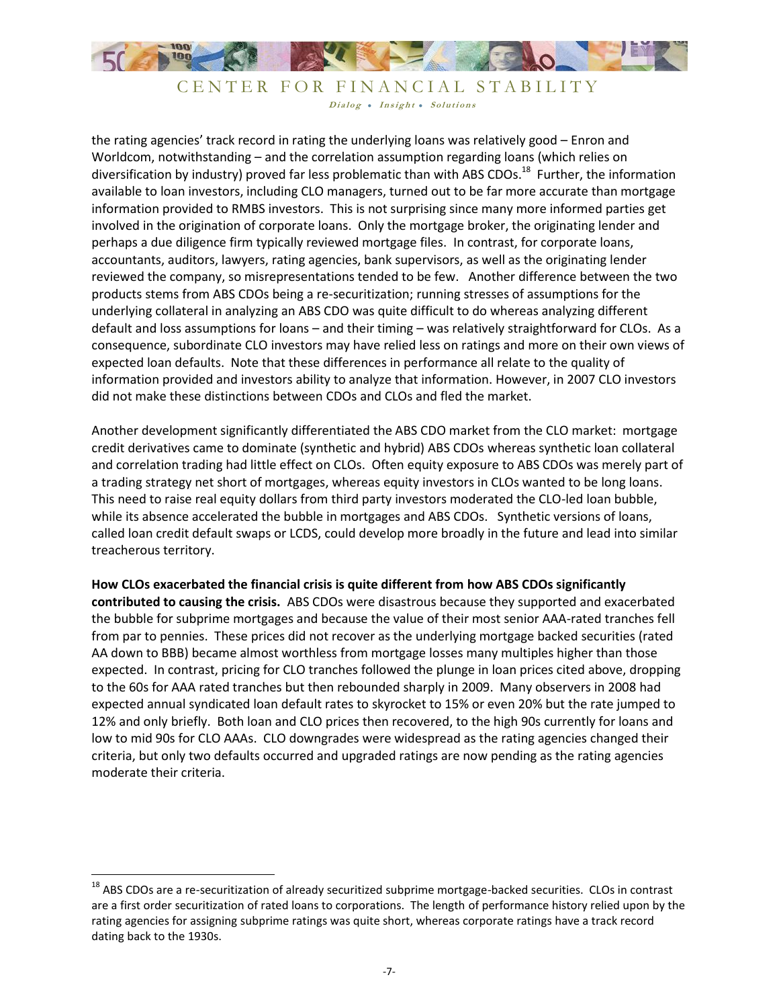

the rating agencies' track record in rating the underlying loans was relatively good – Enron and Worldcom, notwithstanding – and the correlation assumption regarding loans (which relies on diversification by industry) proved far less problematic than with ABS CDOs.<sup>18</sup> Further, the information available to loan investors, including CLO managers, turned out to be far more accurate than mortgage information provided to RMBS investors. This is not surprising since many more informed parties get involved in the origination of corporate loans. Only the mortgage broker, the originating lender and perhaps a due diligence firm typically reviewed mortgage files. In contrast, for corporate loans, accountants, auditors, lawyers, rating agencies, bank supervisors, as well as the originating lender reviewed the company, so misrepresentations tended to be few. Another difference between the two products stems from ABS CDOs being a re-securitization; running stresses of assumptions for the underlying collateral in analyzing an ABS CDO was quite difficult to do whereas analyzing different default and loss assumptions for loans – and their timing – was relatively straightforward for CLOs. As a consequence, subordinate CLO investors may have relied less on ratings and more on their own views of expected loan defaults. Note that these differences in performance all relate to the quality of information provided and investors ability to analyze that information. However, in 2007 CLO investors did not make these distinctions between CDOs and CLOs and fled the market.

Another development significantly differentiated the ABS CDO market from the CLO market: mortgage credit derivatives came to dominate (synthetic and hybrid) ABS CDOs whereas synthetic loan collateral and correlation trading had little effect on CLOs. Often equity exposure to ABS CDOs was merely part of a trading strategy net short of mortgages, whereas equity investors in CLOs wanted to be long loans. This need to raise real equity dollars from third party investors moderated the CLO-led loan bubble, while its absence accelerated the bubble in mortgages and ABS CDOs. Synthetic versions of loans, called loan credit default swaps or LCDS, could develop more broadly in the future and lead into similar treacherous territory.

#### **How CLOs exacerbated the financial crisis is quite different from how ABS CDOs significantly**

**contributed to causing the crisis.** ABS CDOs were disastrous because they supported and exacerbated the bubble for subprime mortgages and because the value of their most senior AAA-rated tranches fell from par to pennies. These prices did not recover as the underlying mortgage backed securities (rated AA down to BBB) became almost worthless from mortgage losses many multiples higher than those expected. In contrast, pricing for CLO tranches followed the plunge in loan prices cited above, dropping to the 60s for AAA rated tranches but then rebounded sharply in 2009. Many observers in 2008 had expected annual syndicated loan default rates to skyrocket to 15% or even 20% but the rate jumped to 12% and only briefly. Both loan and CLO prices then recovered, to the high 90s currently for loans and low to mid 90s for CLO AAAs. CLO downgrades were widespread as the rating agencies changed their criteria, but only two defaults occurred and upgraded ratings are now pending as the rating agencies moderate their criteria.

<sup>&</sup>lt;sup>18</sup> ABS CDOs are a re-securitization of already securitized subprime mortgage-backed securities. CLOs in contrast are a first order securitization of rated loans to corporations. The length of performance history relied upon by the rating agencies for assigning subprime ratings was quite short, whereas corporate ratings have a track record dating back to the 1930s.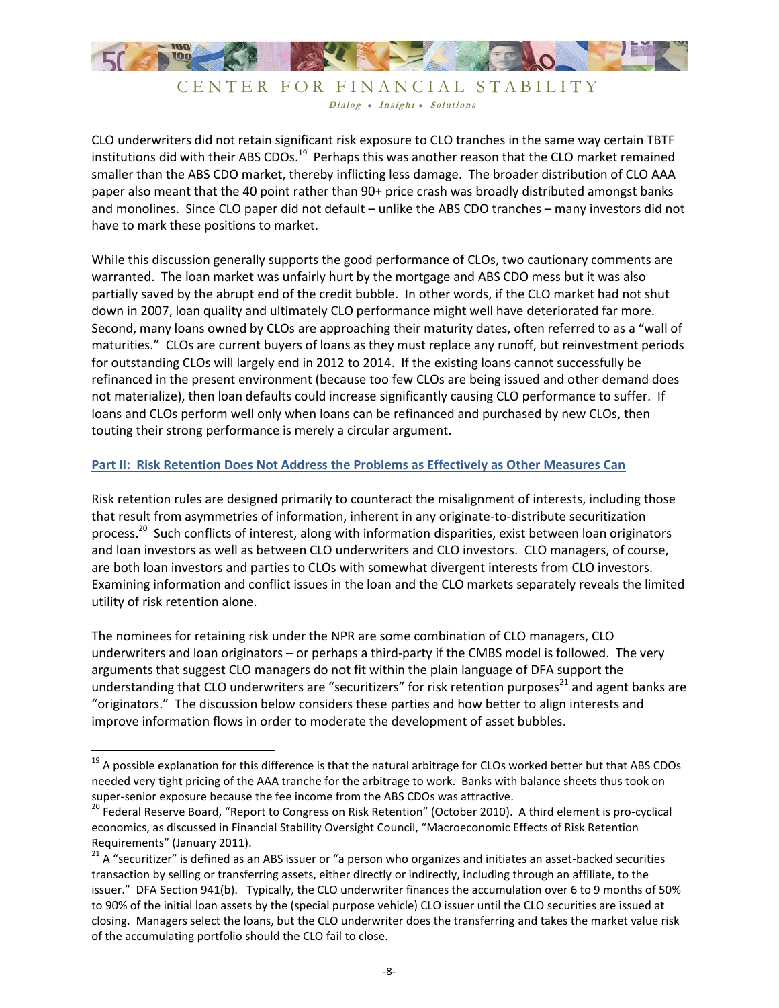

CLO underwriters did not retain significant risk exposure to CLO tranches in the same way certain TBTF institutions did with their ABS CDOs.<sup>19</sup> Perhaps this was another reason that the CLO market remained smaller than the ABS CDO market, thereby inflicting less damage. The broader distribution of CLO AAA paper also meant that the 40 point rather than 90+ price crash was broadly distributed amongst banks and monolines. Since CLO paper did not default – unlike the ABS CDO tranches – many investors did not have to mark these positions to market.

While this discussion generally supports the good performance of CLOs, two cautionary comments are warranted. The loan market was unfairly hurt by the mortgage and ABS CDO mess but it was also partially saved by the abrupt end of the credit bubble. In other words, if the CLO market had not shut down in 2007, loan quality and ultimately CLO performance might well have deteriorated far more. Second, many loans owned by CLOs are approaching their maturity dates, often referred to as a "wall of maturities." CLOs are current buyers of loans as they must replace any runoff, but reinvestment periods for outstanding CLOs will largely end in 2012 to 2014. If the existing loans cannot successfully be refinanced in the present environment (because too few CLOs are being issued and other demand does not materialize), then loan defaults could increase significantly causing CLO performance to suffer. If loans and CLOs perform well only when loans can be refinanced and purchased by new CLOs, then touting their strong performance is merely a circular argument.

#### **Part II: Risk Retention Does Not Address the Problems as Effectively as Other Measures Can**

Risk retention rules are designed primarily to counteract the misalignment of interests, including those that result from asymmetries of information, inherent in any originate-to-distribute securitization process.<sup>20</sup> Such conflicts of interest, along with information disparities, exist between loan originators and loan investors as well as between CLO underwriters and CLO investors. CLO managers, of course, are both loan investors and parties to CLOs with somewhat divergent interests from CLO investors. Examining information and conflict issues in the loan and the CLO markets separately reveals the limited utility of risk retention alone.

The nominees for retaining risk under the NPR are some combination of CLO managers, CLO underwriters and loan originators – or perhaps a third-party if the CMBS model is followed. The very arguments that suggest CLO managers do not fit within the plain language of DFA support the understanding that CLO underwriters are "securitizers" for risk retention purposes $^{21}$  and agent banks are "originators." The discussion below considers these parties and how better to align interests and improve information flows in order to moderate the development of asset bubbles.

 $19$  A possible explanation for this difference is that the natural arbitrage for CLOs worked better but that ABS CDOs needed very tight pricing of the AAA tranche for the arbitrage to work. Banks with balance sheets thus took on super-senior exposure because the fee income from the ABS CDOs was attractive.

<sup>&</sup>lt;sup>20</sup> Federal Reserve Board, "Report to Congress on Risk Retention" (October 2010). A third element is pro-cyclical economics, as discussed in Financial Stability Oversight Council, "Macroeconomic Effects of Risk Retention Requirements" (January 2011).

<sup>&</sup>lt;sup>21</sup> A "securitizer" is defined as an ABS issuer or "a person who organizes and initiates an asset-backed securities transaction by selling or transferring assets, either directly or indirectly, including through an affiliate, to the issuer." DFA Section 941(b). Typically, the CLO underwriter finances the accumulation over 6 to 9 months of 50% to 90% of the initial loan assets by the (special purpose vehicle) CLO issuer until the CLO securities are issued at closing. Managers select the loans, but the CLO underwriter does the transferring and takes the market value risk of the accumulating portfolio should the CLO fail to close.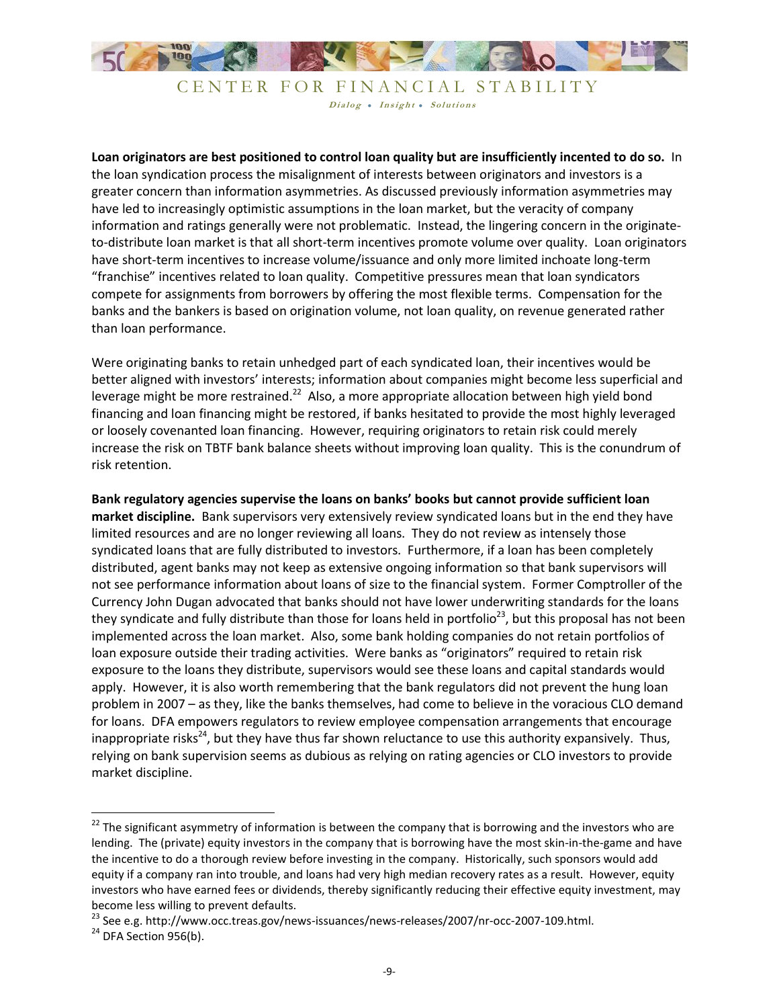

**Loan originators are best positioned to control loan quality but are insufficiently incented to do so.** In the loan syndication process the misalignment of interests between originators and investors is a greater concern than information asymmetries. As discussed previously information asymmetries may have led to increasingly optimistic assumptions in the loan market, but the veracity of company information and ratings generally were not problematic. Instead, the lingering concern in the originateto-distribute loan market is that all short-term incentives promote volume over quality. Loan originators have short-term incentives to increase volume/issuance and only more limited inchoate long-term "franchise" incentives related to loan quality. Competitive pressures mean that loan syndicators compete for assignments from borrowers by offering the most flexible terms. Compensation for the banks and the bankers is based on origination volume, not loan quality, on revenue generated rather than loan performance.

Were originating banks to retain unhedged part of each syndicated loan, their incentives would be better aligned with investors' interests; information about companies might become less superficial and leverage might be more restrained.<sup>22</sup> Also, a more appropriate allocation between high yield bond financing and loan financing might be restored, if banks hesitated to provide the most highly leveraged or loosely covenanted loan financing. However, requiring originators to retain risk could merely increase the risk on TBTF bank balance sheets without improving loan quality. This is the conundrum of risk retention.

**Bank regulatory agencies supervise the loans on banks' books but cannot provide sufficient loan market discipline.** Bank supervisors very extensively review syndicated loans but in the end they have limited resources and are no longer reviewing all loans. They do not review as intensely those syndicated loans that are fully distributed to investors. Furthermore, if a loan has been completely distributed, agent banks may not keep as extensive ongoing information so that bank supervisors will not see performance information about loans of size to the financial system. Former Comptroller of the Currency John Dugan advocated that banks should not have lower underwriting standards for the loans they syndicate and fully distribute than those for loans held in portfolio<sup>23</sup>, but this proposal has not been implemented across the loan market. Also, some bank holding companies do not retain portfolios of loan exposure outside their trading activities. Were banks as "originators" required to retain risk exposure to the loans they distribute, supervisors would see these loans and capital standards would apply. However, it is also worth remembering that the bank regulators did not prevent the hung loan problem in 2007 – as they, like the banks themselves, had come to believe in the voracious CLO demand for loans. DFA empowers regulators to review employee compensation arrangements that encourage inappropriate risks<sup>24</sup>, but they have thus far shown reluctance to use this authority expansively. Thus, relying on bank supervision seems as dubious as relying on rating agencies or CLO investors to provide market discipline.

l

<sup>&</sup>lt;sup>22</sup> The significant asymmetry of information is between the company that is borrowing and the investors who are lending. The (private) equity investors in the company that is borrowing have the most skin-in-the-game and have the incentive to do a thorough review before investing in the company. Historically, such sponsors would add equity if a company ran into trouble, and loans had very high median recovery rates as a result. However, equity investors who have earned fees or dividends, thereby significantly reducing their effective equity investment, may become less willing to prevent defaults.

<sup>&</sup>lt;sup>23</sup> See e.g. http://www.occ.treas.gov/news-issuances/news-releases/2007/nr-occ-2007-109.html.

 $24$  DFA Section 956(b).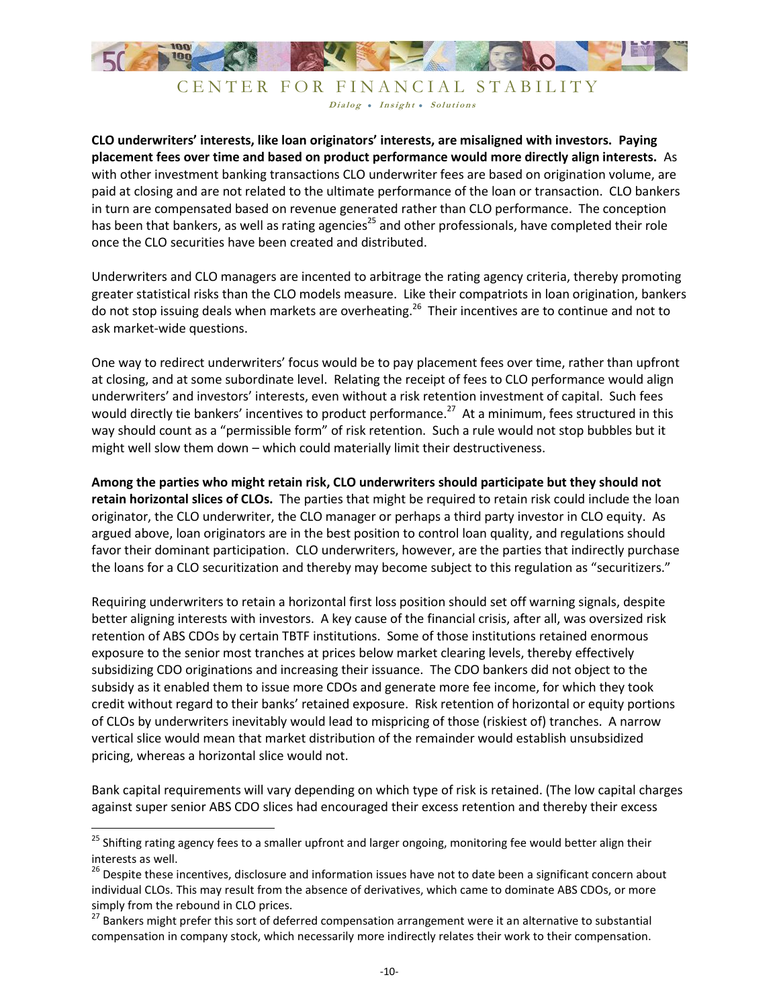

**CLO underwriters' interests, like loan originators' interests, are misaligned with investors. Paying placement fees over time and based on product performance would more directly align interests.** As with other investment banking transactions CLO underwriter fees are based on origination volume, are paid at closing and are not related to the ultimate performance of the loan or transaction. CLO bankers in turn are compensated based on revenue generated rather than CLO performance. The conception has been that bankers, as well as rating agencies<sup>25</sup> and other professionals, have completed their role once the CLO securities have been created and distributed.

Underwriters and CLO managers are incented to arbitrage the rating agency criteria, thereby promoting greater statistical risks than the CLO models measure. Like their compatriots in loan origination, bankers do not stop issuing deals when markets are overheating.<sup>26</sup> Their incentives are to continue and not to ask market-wide questions.

One way to redirect underwriters' focus would be to pay placement fees over time, rather than upfront at closing, and at some subordinate level. Relating the receipt of fees to CLO performance would align underwriters' and investors' interests, even without a risk retention investment of capital. Such fees would directly tie bankers' incentives to product performance.<sup>27</sup> At a minimum, fees structured in this way should count as a "permissible form" of risk retention. Such a rule would not stop bubbles but it might well slow them down – which could materially limit their destructiveness.

**Among the parties who might retain risk, CLO underwriters should participate but they should not retain horizontal slices of CLOs.** The parties that might be required to retain risk could include the loan originator, the CLO underwriter, the CLO manager or perhaps a third party investor in CLO equity. As argued above, loan originators are in the best position to control loan quality, and regulations should favor their dominant participation. CLO underwriters, however, are the parties that indirectly purchase the loans for a CLO securitization and thereby may become subject to this regulation as "securitizers."

Requiring underwriters to retain a horizontal first loss position should set off warning signals, despite better aligning interests with investors. A key cause of the financial crisis, after all, was oversized risk retention of ABS CDOs by certain TBTF institutions. Some of those institutions retained enormous exposure to the senior most tranches at prices below market clearing levels, thereby effectively subsidizing CDO originations and increasing their issuance. The CDO bankers did not object to the subsidy as it enabled them to issue more CDOs and generate more fee income, for which they took credit without regard to their banks' retained exposure. Risk retention of horizontal or equity portions of CLOs by underwriters inevitably would lead to mispricing of those (riskiest of) tranches. A narrow vertical slice would mean that market distribution of the remainder would establish unsubsidized pricing, whereas a horizontal slice would not.

Bank capital requirements will vary depending on which type of risk is retained. (The low capital charges against super senior ABS CDO slices had encouraged their excess retention and thereby their excess

<sup>&</sup>lt;sup>25</sup> Shifting rating agency fees to a smaller upfront and larger ongoing, monitoring fee would better align their interests as well.

<sup>&</sup>lt;sup>26</sup> Despite these incentives, disclosure and information issues have not to date been a significant concern about individual CLOs. This may result from the absence of derivatives, which came to dominate ABS CDOs, or more simply from the rebound in CLO prices.

<sup>&</sup>lt;sup>27</sup> Bankers might prefer this sort of deferred compensation arrangement were it an alternative to substantial compensation in company stock, which necessarily more indirectly relates their work to their compensation.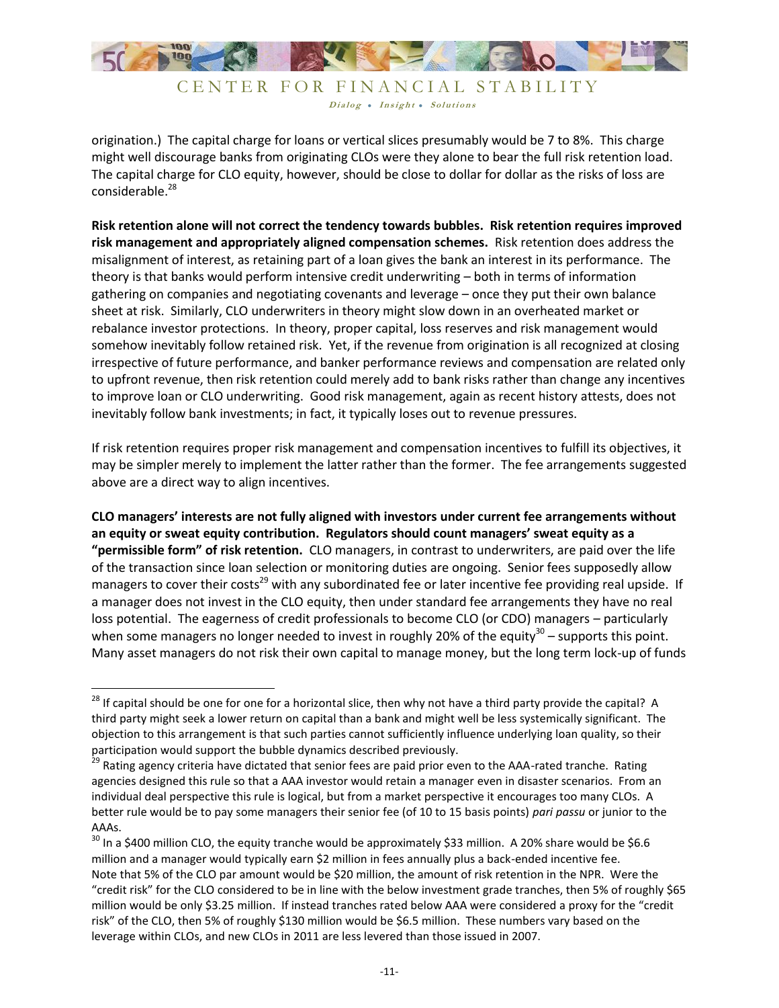

origination.) The capital charge for loans or vertical slices presumably would be 7 to 8%. This charge might well discourage banks from originating CLOs were they alone to bear the full risk retention load. The capital charge for CLO equity, however, should be close to dollar for dollar as the risks of loss are considerable. 28

**Risk retention alone will not correct the tendency towards bubbles. Risk retention requires improved risk management and appropriately aligned compensation schemes.** Risk retention does address the misalignment of interest, as retaining part of a loan gives the bank an interest in its performance. The theory is that banks would perform intensive credit underwriting – both in terms of information gathering on companies and negotiating covenants and leverage – once they put their own balance sheet at risk. Similarly, CLO underwriters in theory might slow down in an overheated market or rebalance investor protections. In theory, proper capital, loss reserves and risk management would somehow inevitably follow retained risk. Yet, if the revenue from origination is all recognized at closing irrespective of future performance, and banker performance reviews and compensation are related only to upfront revenue, then risk retention could merely add to bank risks rather than change any incentives to improve loan or CLO underwriting. Good risk management, again as recent history attests, does not inevitably follow bank investments; in fact, it typically loses out to revenue pressures.

If risk retention requires proper risk management and compensation incentives to fulfill its objectives, it may be simpler merely to implement the latter rather than the former. The fee arrangements suggested above are a direct way to align incentives.

**CLO managers' interests are not fully aligned with investors under current fee arrangements without an equity or sweat equity contribution. Regulators should count managers' sweat equity as a "permissible form" of risk retention.** CLO managers, in contrast to underwriters, are paid over the life of the transaction since loan selection or monitoring duties are ongoing. Senior fees supposedly allow managers to cover their costs<sup>29</sup> with any subordinated fee or later incentive fee providing real upside. If a manager does not invest in the CLO equity, then under standard fee arrangements they have no real loss potential. The eagerness of credit professionals to become CLO (or CDO) managers – particularly when some managers no longer needed to invest in roughly 20% of the equity<sup>30</sup> – supports this point. Many asset managers do not risk their own capital to manage money, but the long term lock-up of funds

 $^{28}$  If capital should be one for one for a horizontal slice, then why not have a third party provide the capital? A third party might seek a lower return on capital than a bank and might well be less systemically significant. The objection to this arrangement is that such parties cannot sufficiently influence underlying loan quality, so their participation would support the bubble dynamics described previously.

<sup>&</sup>lt;sup>29</sup> Rating agency criteria have dictated that senior fees are paid prior even to the AAA-rated tranche. Rating agencies designed this rule so that a AAA investor would retain a manager even in disaster scenarios. From an individual deal perspective this rule is logical, but from a market perspective it encourages too many CLOs. A better rule would be to pay some managers their senior fee (of 10 to 15 basis points) *pari passu* or junior to the AAAs.

 $30$  In a \$400 million CLO, the equity tranche would be approximately \$33 million. A 20% share would be \$6.6 million and a manager would typically earn \$2 million in fees annually plus a back-ended incentive fee. Note that 5% of the CLO par amount would be \$20 million, the amount of risk retention in the NPR. Were the "credit risk" for the CLO considered to be in line with the below investment grade tranches, then 5% of roughly \$65 million would be only \$3.25 million. If instead tranches rated below AAA were considered a proxy for the "credit risk" of the CLO, then 5% of roughly \$130 million would be \$6.5 million. These numbers vary based on the leverage within CLOs, and new CLOs in 2011 are less levered than those issued in 2007.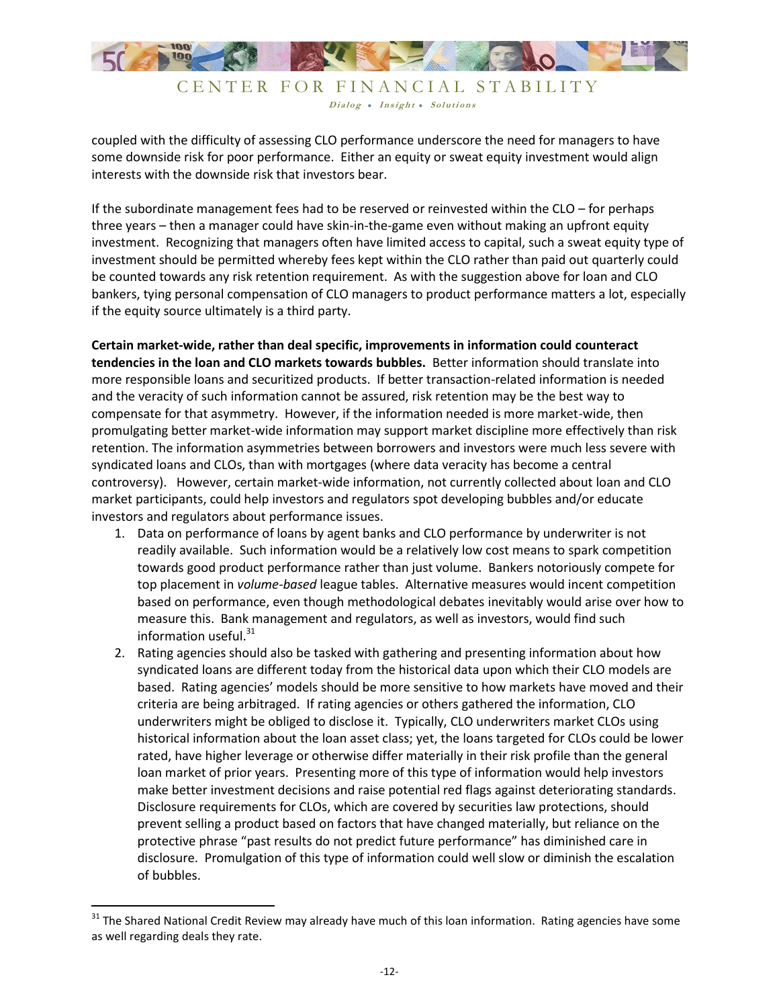

Dialog • Insight • Solutions

coupled with the difficulty of assessing CLO performance underscore the need for managers to have some downside risk for poor performance. Either an equity or sweat equity investment would align interests with the downside risk that investors bear.

If the subordinate management fees had to be reserved or reinvested within the CLO – for perhaps three years – then a manager could have skin-in-the-game even without making an upfront equity investment. Recognizing that managers often have limited access to capital, such a sweat equity type of investment should be permitted whereby fees kept within the CLO rather than paid out quarterly could be counted towards any risk retention requirement. As with the suggestion above for loan and CLO bankers, tying personal compensation of CLO managers to product performance matters a lot, especially if the equity source ultimately is a third party.

**Certain market-wide, rather than deal specific, improvements in information could counteract tendencies in the loan and CLO markets towards bubbles.** Better information should translate into more responsible loans and securitized products. If better transaction-related information is needed and the veracity of such information cannot be assured, risk retention may be the best way to compensate for that asymmetry. However, if the information needed is more market-wide, then promulgating better market-wide information may support market discipline more effectively than risk retention. The information asymmetries between borrowers and investors were much less severe with syndicated loans and CLOs, than with mortgages (where data veracity has become a central controversy). However, certain market-wide information, not currently collected about loan and CLO market participants, could help investors and regulators spot developing bubbles and/or educate investors and regulators about performance issues.

- 1. Data on performance of loans by agent banks and CLO performance by underwriter is not readily available. Such information would be a relatively low cost means to spark competition towards good product performance rather than just volume. Bankers notoriously compete for top placement in *volume-based* league tables. Alternative measures would incent competition based on performance, even though methodological debates inevitably would arise over how to measure this. Bank management and regulators, as well as investors, would find such information useful.<sup>31</sup>
- 2. Rating agencies should also be tasked with gathering and presenting information about how syndicated loans are different today from the historical data upon which their CLO models are based. Rating agencies' models should be more sensitive to how markets have moved and their criteria are being arbitraged. If rating agencies or others gathered the information, CLO underwriters might be obliged to disclose it. Typically, CLO underwriters market CLOs using historical information about the loan asset class; yet, the loans targeted for CLOs could be lower rated, have higher leverage or otherwise differ materially in their risk profile than the general loan market of prior years. Presenting more of this type of information would help investors make better investment decisions and raise potential red flags against deteriorating standards. Disclosure requirements for CLOs, which are covered by securities law protections, should prevent selling a product based on factors that have changed materially, but reliance on the protective phrase "past results do not predict future performance" has diminished care in disclosure. Promulgation of this type of information could well slow or diminish the escalation of bubbles.

 $31$  The Shared National Credit Review may already have much of this loan information. Rating agencies have some as well regarding deals they rate.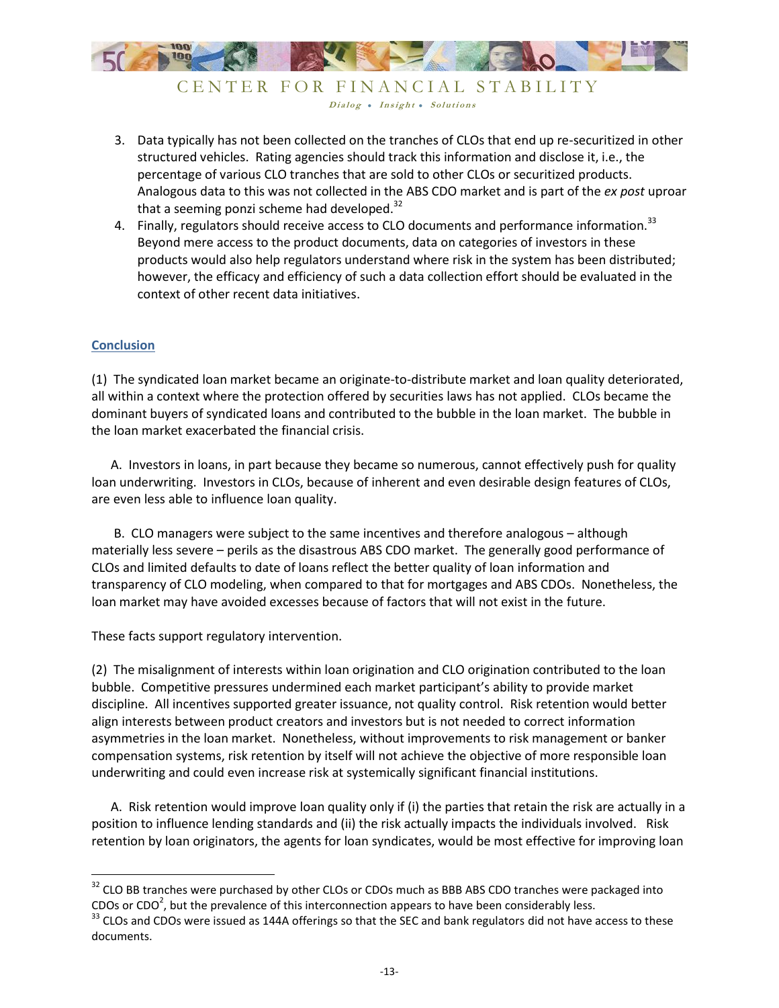

- 3. Data typically has not been collected on the tranches of CLOs that end up re-securitized in other structured vehicles. Rating agencies should track this information and disclose it, i.e., the percentage of various CLO tranches that are sold to other CLOs or securitized products. Analogous data to this was not collected in the ABS CDO market and is part of the *ex post* uproar that a seeming ponzi scheme had developed.<sup>32</sup>
- 4. Finally, regulators should receive access to CLO documents and performance information.<sup>33</sup> Beyond mere access to the product documents, data on categories of investors in these products would also help regulators understand where risk in the system has been distributed; however, the efficacy and efficiency of such a data collection effort should be evaluated in the context of other recent data initiatives.

### **Conclusion**

 $\overline{\phantom{a}}$ 

(1) The syndicated loan market became an originate-to-distribute market and loan quality deteriorated, all within a context where the protection offered by securities laws has not applied. CLOs became the dominant buyers of syndicated loans and contributed to the bubble in the loan market. The bubble in the loan market exacerbated the financial crisis.

 A. Investors in loans, in part because they became so numerous, cannot effectively push for quality loan underwriting. Investors in CLOs, because of inherent and even desirable design features of CLOs, are even less able to influence loan quality.

 B. CLO managers were subject to the same incentives and therefore analogous – although materially less severe – perils as the disastrous ABS CDO market. The generally good performance of CLOs and limited defaults to date of loans reflect the better quality of loan information and transparency of CLO modeling, when compared to that for mortgages and ABS CDOs. Nonetheless, the loan market may have avoided excesses because of factors that will not exist in the future.

These facts support regulatory intervention.

(2) The misalignment of interests within loan origination and CLO origination contributed to the loan bubble. Competitive pressures undermined each market participant's ability to provide market discipline. All incentives supported greater issuance, not quality control. Risk retention would better align interests between product creators and investors but is not needed to correct information asymmetries in the loan market. Nonetheless, without improvements to risk management or banker compensation systems, risk retention by itself will not achieve the objective of more responsible loan underwriting and could even increase risk at systemically significant financial institutions.

 A. Risk retention would improve loan quality only if (i) the parties that retain the risk are actually in a position to influence lending standards and (ii) the risk actually impacts the individuals involved. Risk retention by loan originators, the agents for loan syndicates, would be most effective for improving loan

<sup>&</sup>lt;sup>32</sup> CLO BB tranches were purchased by other CLOs or CDOs much as BBB ABS CDO tranches were packaged into CDOs or CDO<sup>2</sup>, but the prevalence of this interconnection appears to have been considerably less.

<sup>&</sup>lt;sup>33</sup> CLOs and CDOs were issued as 144A offerings so that the SEC and bank regulators did not have access to these documents.